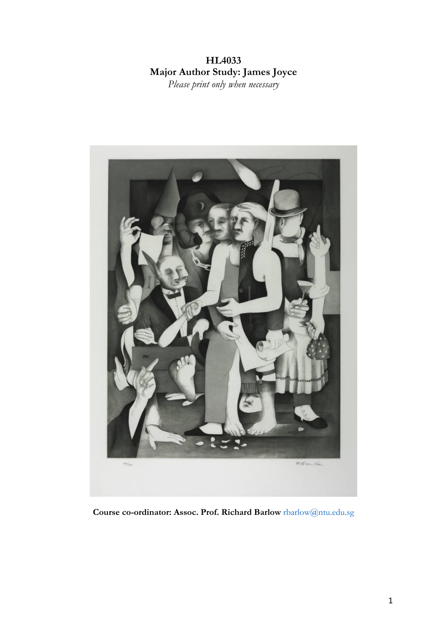# **HL4033 Major Author Study: James Joyce** *Please print only when necessary*



**Course co-ordinator: Assoc. Prof. Richard Barlow** rbarlow@ntu.edu.sg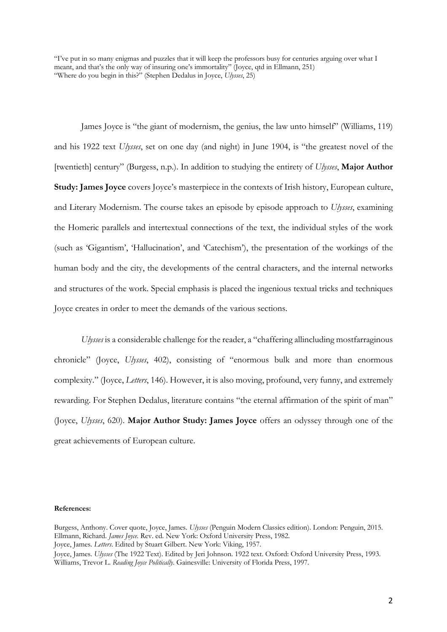"I've put in so many enigmas and puzzles that it will keep the professors busy for centuries arguing over what I meant, and that's the only way of insuring one's immortality" (Joyce, qtd in Ellmann, 251) "Where do you begin in this?" (Stephen Dedalus in Joyce, *Ulysses*, 25)

James Joyce is "the giant of modernism, the genius, the law unto himself" (Williams, 119) and his 1922 text *Ulysses*, set on one day (and night) in June 1904, is "the greatest novel of the [twentieth] century" (Burgess, n.p.). In addition to studying the entirety of *Ulysses*, **Major Author Study: James Joyce** covers Joyce's masterpiece in the contexts of Irish history, European culture, and Literary Modernism. The course takes an episode by episode approach to *Ulysses*, examining the Homeric parallels and intertextual connections of the text, the individual styles of the work (such as 'Gigantism', 'Hallucination', and 'Catechism'), the presentation of the workings of the human body and the city, the developments of the central characters, and the internal networks and structures of the work. Special emphasis is placed the ingenious textual tricks and techniques Joyce creates in order to meet the demands of the various sections.

*Ulysses* is a considerable challenge for the reader, a "chaffering allincluding mostfarraginous chronicle" (Joyce, *Ulysses*, 402), consisting of "enormous bulk and more than enormous complexity." (Joyce, *Letters*, 146). However, it is also moving, profound, very funny, and extremely rewarding. For Stephen Dedalus, literature contains "the eternal affirmation of the spirit of man" (Joyce, *Ulysses*, 620). **Major Author Study: James Joyce** offers an odyssey through one of the great achievements of European culture.

#### **References:**

Burgess, Anthony. Cover quote, Joyce, James. *Ulysses* (Penguin Modern Classics edition). London: Penguin, 2015. Ellmann, Richard. *James Joyce.* Rev. ed. New York: Oxford University Press, 1982. Joyce, James. *Letters*. Edited by Stuart Gilbert. New York: Viking, 1957. Joyce, James. *Ulysses* (The 1922 Text). Edited by Jeri Johnson. 1922 text. Oxford: Oxford University Press, 1993.

Williams, Trevor L. *Reading Joyce Politically*. Gainesville: University of Florida Press, 1997.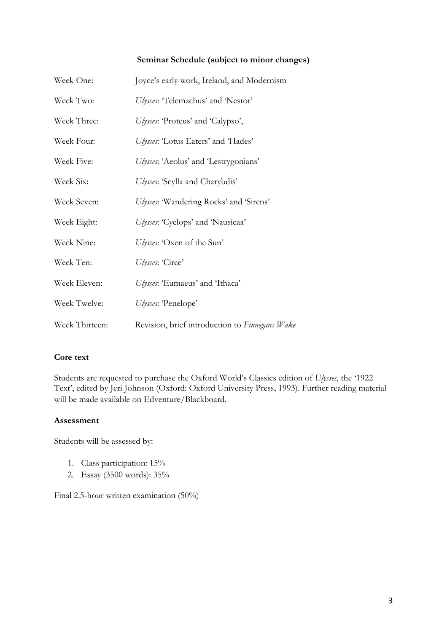## **Seminar Schedule (subject to minor changes)**

| Week One:      | Joyce's early work, Ireland, and Modernism     |
|----------------|------------------------------------------------|
| Week Two:      | Ulysses: 'Telemachus' and 'Nestor'             |
| Week Three:    | Ulysses: 'Proteus' and 'Calypso',              |
| Week Four:     | Ulysses: 'Lotus Eaters' and 'Hades'            |
| Week Five:     | Ulysses: 'Aeolus' and 'Lestrygonians'          |
| Week Six:      | Ulysses: 'Scylla and Charybdis'                |
| Week Seven:    | Ulysses: 'Wandering Rocks' and 'Sirens'        |
| Week Eight:    | Ulysses: 'Cyclops' and 'Nausicaa'              |
| Week Nine:     | Ulysses: 'Oxen of the Sun'                     |
| Week Ten:      | Ulysses: 'Circe'                               |
| Week Eleven:   | Ulysses: 'Eumaeus' and 'Ithaca'                |
| Week Twelve:   | Ulysses: 'Penelope'                            |
| Week Thirteen: | Revision, brief introduction to Finnegans Wake |

# **Core text**

Students are requested to purchase the Oxford World's Classics edition of *Ulysses*, the '1922 Text', edited by Jeri Johnson (Oxford: Oxford University Press, 1993). Further reading material will be made available on Edventure/Blackboard.

### **Assessment**

Students will be assessed by:

- 1. Class participation: 15%
- 2. Essay (3500 words): 35%

Final 2.5-hour written examination (50%)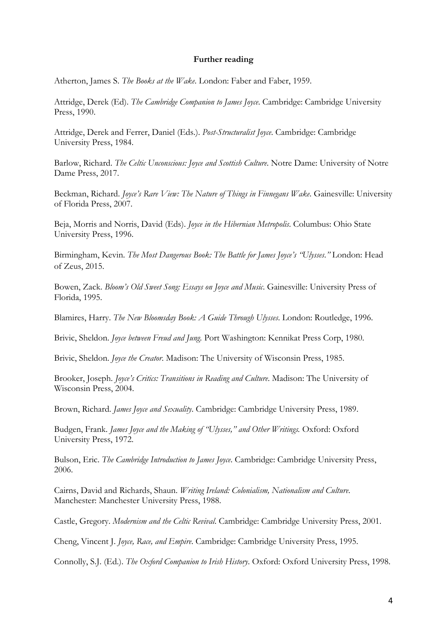### **Further reading**

Atherton, James S. *The Books at the Wake*. London: Faber and Faber, 1959.

Attridge, Derek (Ed). *The Cambridge Companion to James Joyce*. Cambridge: Cambridge University Press, 1990.

Attridge, Derek and Ferrer, Daniel (Eds.). *Post-Structuralist Joyce*. Cambridge: Cambridge University Press, 1984.

Barlow, Richard. *The Celtic Unconscious: Joyce and Scottish Culture*. Notre Dame: University of Notre Dame Press, 2017.

Beckman, Richard. *Joyce's Rare View: The Nature of Things in Finnegans Wake*. Gainesville: University of Florida Press, 2007.

Beja, Morris and Norris, David (Eds). *Joyce in the Hibernian Metropolis*. Columbus: Ohio State University Press, 1996.

Birmingham, Kevin. *The Most Dangerous Book: The Battle for James Joyce's "Ulysses*.*"* London: Head of Zeus, 2015.

Bowen, Zack. *Bloom's Old Sweet Song: Essays on Joyce and Music*. Gainesville: University Press of Florida, 1995.

Blamires, Harry. *The New Bloomsday Book: A Guide Through Ulysses*. London: Routledge, 1996.

Brivic, Sheldon. *Joyce between Freud and Jung.* Port Washington: Kennikat Press Corp, 1980.

Brivic, Sheldon. *Joyce the Creator*. Madison: The University of Wisconsin Press, 1985.

Brooker, Joseph. *Joyce's Critics: Transitions in Reading and Culture*. Madison: The University of Wisconsin Press, 2004.

Brown, Richard. *James Joyce and Sexuality*. Cambridge: Cambridge University Press, 1989.

Budgen, Frank. *James Joyce and the Making of "Ulysses," and Other Writings*. Oxford: Oxford University Press, 1972.

Bulson, Eric. *The Cambridge Introduction to James Joyce*. Cambridge: Cambridge University Press, 2006.

Cairns, David and Richards, Shaun. *Writing Ireland: Colonialism, Nationalism and Culture*. Manchester: Manchester University Press, 1988.

Castle, Gregory. *Modernism and the Celtic Revival*. Cambridge: Cambridge University Press, 2001.

Cheng, Vincent J. *Joyce, Race, and Empire*. Cambridge: Cambridge University Press, 1995.

Connolly, S.J. (Ed.). *The Oxford Companion to Irish History*. Oxford: Oxford University Press, 1998.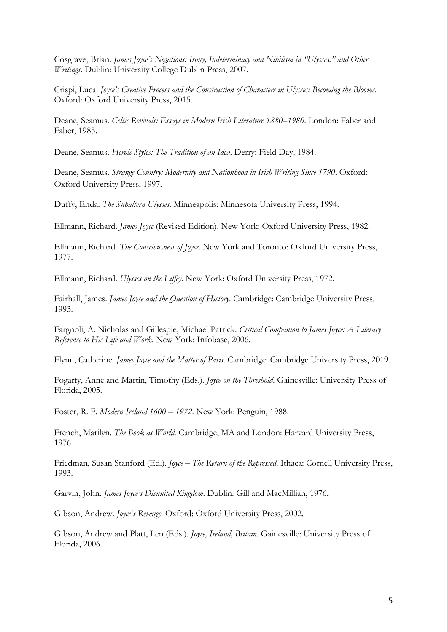Cosgrave, Brian. *James Joyce's Negations: Irony, Indeterminacy and Nihilism in "Ulysses," and Other Writings*. Dublin: University College Dublin Press, 2007.

Crispi, Luca. *Joyce's Creative Process and the Construction of Characters in Ulysses: Becoming the Blooms*. Oxford: Oxford University Press, 2015.

Deane, Seamus. *Celtic Revivals: Essays in Modern Irish Literature 1880–1980*. London: Faber and Faber, 1985.

Deane, Seamus. *Heroic Styles: The Tradition of an Idea*. Derry: Field Day, 1984.

Deane, Seamus. *Strange Country: Modernity and Nationhood in Irish Writing Since 1790*. Oxford: Oxford University Press, 1997.

Duffy, Enda. *The Subaltern Ulysses*. Minneapolis: Minnesota University Press, 1994.

Ellmann, Richard. *James Joyce* (Revised Edition). New York: Oxford University Press, 1982.

Ellmann, Richard. *The Consciousness of Joyce*. New York and Toronto: Oxford University Press, 1977.

Ellmann, Richard. *Ulysses on the Liffey*. New York: Oxford University Press, 1972.

Fairhall, James. *James Joyce and the Question of History*. Cambridge: Cambridge University Press, 1993.

Fargnoli, A. Nicholas and Gillespie, Michael Patrick. *Critical Companion to James Joyce: A Literary Reference to His Life and Work*. New York: Infobase, 2006.

Flynn, Catherine. *James Joyce and the Matter of Paris*. Cambridge: Cambridge University Press, 2019.

Fogarty, Anne and Martin, Timothy (Eds.)*. Joyce on the Threshold*. Gainesville: University Press of Florida, 2005.

Foster, R. F. *Modern Ireland 1600* – *1972*. New York: Penguin, 1988.

French, Marilyn. *The Book as World*. Cambridge, MA and London: Harvard University Press, 1976.

Friedman, Susan Stanford (Ed.). *Joyce – The Return of the Repressed*. Ithaca: Cornell University Press, 1993.

Garvin, John. *James Joyce's Disunited Kingdom*. Dublin: Gill and MacMillian, 1976.

Gibson, Andrew. *Joyce's Revenge*. Oxford: Oxford University Press, 2002.

Gibson, Andrew and Platt, Len (Eds.). *Joyce, Ireland, Britain*. Gainesville: University Press of Florida, 2006.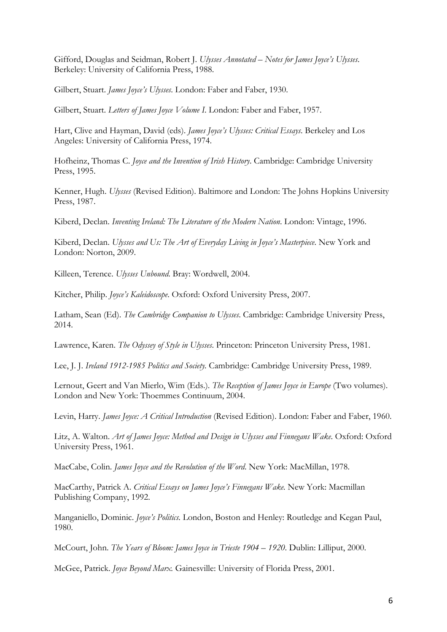Gifford, Douglas and Seidman, Robert J. *Ulysses Annotated – Notes for James Joyce's Ulysses*. Berkeley: University of California Press, 1988.

Gilbert, Stuart. *James Joyce's Ulysses*. London: Faber and Faber, 1930.

Gilbert, Stuart. *Letters of James Joyce Volume I*. London: Faber and Faber, 1957.

Hart, Clive and Hayman, David (eds). *James Joyce's Ulysses: Critical Essays*. Berkeley and Los Angeles: University of California Press, 1974.

Hofheinz, Thomas C. *Joyce and the Invention of Irish History*. Cambridge: Cambridge University Press, 1995.

Kenner, Hugh. *Ulysses* (Revised Edition). Baltimore and London: The Johns Hopkins University Press, 1987.

Kiberd, Declan. *Inventing Ireland: The Literature of the Modern Nation*. London: Vintage, 1996.

Kiberd, Declan. *Ulysses and Us: The Art of Everyday Living in Joyce's Masterpiece*. New York and London: Norton, 2009.

Killeen, Terence. *Ulysses Unbound*. Bray: Wordwell, 2004.

Kitcher, Philip. *Joyce's Kaleidoscope*. Oxford: Oxford University Press, 2007.

Latham, Sean (Ed). *The Cambridge Companion to Ulysses*. Cambridge: Cambridge University Press, 2014.

Lawrence, Karen. *The Odyssey of Style in Ulysses*. Princeton: Princeton University Press, 1981.

Lee, J. J. *Ireland 1912-1985 Politics and Society.* Cambridge: Cambridge University Press, 1989.

Lernout, Geert and Van Mierlo, Wim (Eds.). *The Reception of James Joyce in Europe* (Two volumes). London and New York: Thoemmes Continuum, 2004.

Levin, Harry. *James Joyce: A Critical Introduction* (Revised Edition). London: Faber and Faber, 1960.

Litz, A. Walton. *Art of James Joyce: Method and Design in Ulysses and Finnegans Wake*. Oxford: Oxford University Press, 1961.

MacCabe, Colin. *James Joyce and the Revolution of the Word*. New York: MacMillan, 1978.

MacCarthy, Patrick A. *Critical Essays on James Joyce's Finnegans Wake.* New York: Macmillan Publishing Company, 1992.

Manganiello, Dominic. *Joyce's Politics*. London, Boston and Henley: Routledge and Kegan Paul, 1980.

McCourt, John. *The Years of Bloom: James Joyce in Trieste 1904 – 1920*. Dublin: Lilliput, 2000.

McGee, Patrick. *Joyce Beyond Marx.* Gainesville: University of Florida Press, 2001.